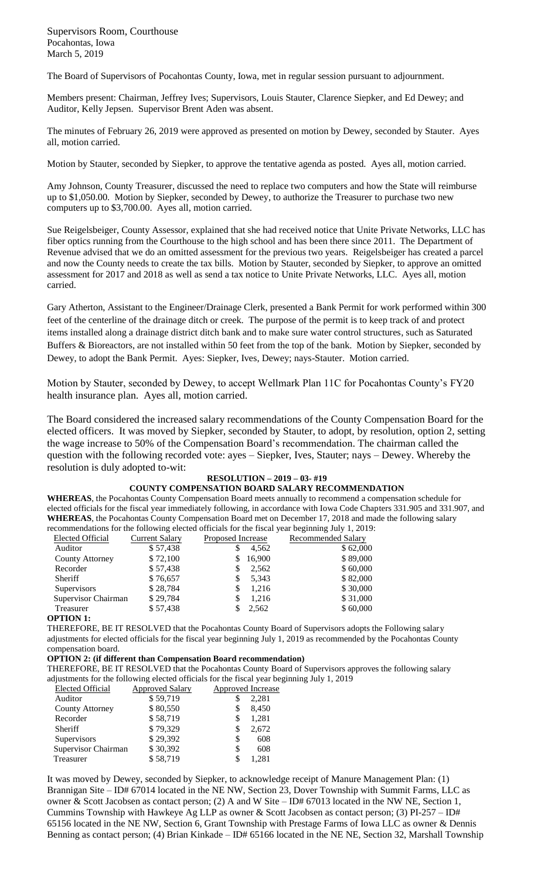Supervisors Room, Courthouse Pocahontas, Iowa March 5, 2019

The Board of Supervisors of Pocahontas County, Iowa, met in regular session pursuant to adjournment.

Members present: Chairman, Jeffrey Ives; Supervisors, Louis Stauter, Clarence Siepker, and Ed Dewey; and Auditor, Kelly Jepsen. Supervisor Brent Aden was absent.

The minutes of February 26, 2019 were approved as presented on motion by Dewey, seconded by Stauter. Ayes all, motion carried.

Motion by Stauter, seconded by Siepker, to approve the tentative agenda as posted. Ayes all, motion carried.

Amy Johnson, County Treasurer, discussed the need to replace two computers and how the State will reimburse up to \$1,050.00. Motion by Siepker, seconded by Dewey, to authorize the Treasurer to purchase two new computers up to \$3,700.00. Ayes all, motion carried.

Sue Reigelsbeiger, County Assessor, explained that she had received notice that Unite Private Networks, LLC has fiber optics running from the Courthouse to the high school and has been there since 2011. The Department of Revenue advised that we do an omitted assessment for the previous two years. Reigelsbeiger has created a parcel and now the County needs to create the tax bills. Motion by Stauter, seconded by Siepker, to approve an omitted assessment for 2017 and 2018 as well as send a tax notice to Unite Private Networks, LLC. Ayes all, motion carried.

Gary Atherton, Assistant to the Engineer/Drainage Clerk, presented a Bank Permit for work performed within 300 feet of the centerline of the drainage ditch or creek. The purpose of the permit is to keep track of and protect items installed along a drainage district ditch bank and to make sure water control structures, such as Saturated Buffers & Bioreactors, are not installed within 50 feet from the top of the bank. Motion by Siepker, seconded by Dewey, to adopt the Bank Permit. Ayes: Siepker, Ives, Dewey; nays-Stauter. Motion carried.

Motion by Stauter, seconded by Dewey, to accept Wellmark Plan 11C for Pocahontas County's FY20 health insurance plan. Ayes all, motion carried.

The Board considered the increased salary recommendations of the County Compensation Board for the elected officers. It was moved by Siepker, seconded by Stauter, to adopt, by resolution, option 2, setting the wage increase to 50% of the Compensation Board's recommendation. The chairman called the question with the following recorded vote: ayes – Siepker, Ives, Stauter; nays – Dewey. Whereby the resolution is duly adopted to-wit:

# **RESOLUTION – 2019 – 03- #19**

## **COUNTY COMPENSATION BOARD SALARY RECOMMENDATION**

**WHEREAS**, the Pocahontas County Compensation Board meets annually to recommend a compensation schedule for elected officials for the fiscal year immediately following, in accordance with Iowa Code Chapters 331.905 and 331.907, and **WHEREAS**, the Pocahontas County Compensation Board met on December 17, 2018 and made the following salary recommendations for the following elected officials for the fiscal year beginning July 1, 2019:

| recommendations for the following cluence officials for the fiscal year obginance $\alpha$ , $\alpha$ , $\beta$ |                       |                   |        |                    |  |
|-----------------------------------------------------------------------------------------------------------------|-----------------------|-------------------|--------|--------------------|--|
| Elected Official                                                                                                | <b>Current Salary</b> | Proposed Increase |        | Recommended Salary |  |
| Auditor                                                                                                         | \$57,438              |                   | 4,562  | \$62,000           |  |
| County Attorney                                                                                                 | \$72,100              | S.                | 16,900 | \$89,000           |  |
| Recorder                                                                                                        | \$57,438              |                   | 2,562  | \$60,000           |  |
| Sheriff                                                                                                         | \$76,657              |                   | 5.343  | \$82,000           |  |
| Supervisors                                                                                                     | \$28,784              | S                 | 1.216  | \$30,000           |  |
| Supervisor Chairman                                                                                             | \$29,784              |                   | 1.216  | \$31,000           |  |
| Treasurer                                                                                                       | \$57,438              |                   | 2,562  | \$60,000           |  |
|                                                                                                                 |                       |                   |        |                    |  |

#### **OPTION 1:**

THEREFORE, BE IT RESOLVED that the Pocahontas County Board of Supervisors adopts the Following salary adjustments for elected officials for the fiscal year beginning July 1, 2019 as recommended by the Pocahontas County compensation board.

### **OPTION 2: (if different than Compensation Board recommendation)**

THEREFORE, BE IT RESOLVED that the Pocahontas County Board of Supervisors approves the following salary adjustments for the following elected officials for the fiscal year beginning July 1, 2019

| Elected Official    | <b>Approved Salary</b> | Approved Increase |
|---------------------|------------------------|-------------------|
| Auditor             | \$59,719               | 2,281             |
| County Attorney     | \$80,550               | 8,450<br>S        |
| Recorder            | \$58,719               | 1,281<br>\$       |
| <b>Sheriff</b>      | \$79,329               | 2,672<br>S        |
| Supervisors         | \$29,392               | 608<br>S          |
| Supervisor Chairman | \$30,392               | S<br>608          |
| Treasurer           | \$58,719               | 1.281             |
|                     |                        |                   |

It was moved by Dewey, seconded by Siepker, to acknowledge receipt of Manure Management Plan: (1) Brannigan Site – ID# 67014 located in the NE NW, Section 23, Dover Township with Summit Farms, LLC as owner & Scott Jacobsen as contact person; (2) A and W Site – ID# 67013 located in the NW NE, Section 1, Cummins Township with Hawkeye Ag LLP as owner & Scott Jacobsen as contact person; (3) PI-257 – ID# 65156 located in the NE NW, Section 6, Grant Township with Prestage Farms of Iowa LLC as owner & Dennis Benning as contact person; (4) Brian Kinkade – ID# 65166 located in the NE NE, Section 32, Marshall Township